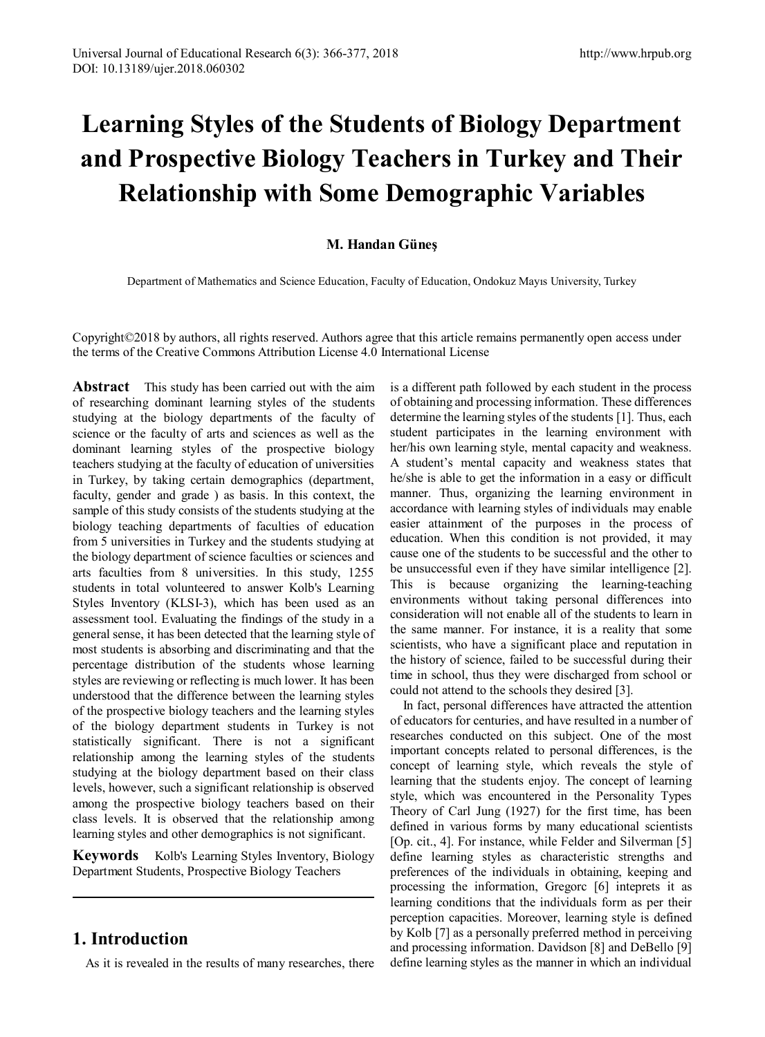# **Learning Styles of the Students of Biology Department and Prospective Biology Teachers in Turkey and Their Relationship with Some Demographic Variables**

## **M. Handan Güneş**

Department of Mathematics and Science Education, Faculty of Education, Ondokuz Mayıs University, Turkey

Copyright©2018 by authors, all rights reserved. Authors agree that this article remains permanently open access under the terms of the Creative Commons Attribution License 4.0 International License

**Abstract** This study has been carried out with the aim of researching dominant learning styles of the students studying at the biology departments of the faculty of science or the faculty of arts and sciences as well as the dominant learning styles of the prospective biology teachers studying at the faculty of education of universities in Turkey, by taking certain demographics (department, faculty, gender and grade ) as basis. In this context, the sample of this study consists of the students studying at the biology teaching departments of faculties of education from 5 universities in Turkey and the students studying at the biology department of science faculties or sciences and arts faculties from 8 universities. In this study, 1255 students in total volunteered to answer Kolb's Learning Styles Inventory (KLSI-3), which has been used as an assessment tool. Evaluating the findings of the study in a general sense, it has been detected that the learning style of most students is absorbing and discriminating and that the percentage distribution of the students whose learning styles are reviewing or reflecting is much lower. It has been understood that the difference between the learning styles of the prospective biology teachers and the learning styles of the biology department students in Turkey is not statistically significant. There is not a significant relationship among the learning styles of the students studying at the biology department based on their class levels, however, such a significant relationship is observed among the prospective biology teachers based on their class levels. It is observed that the relationship among learning styles and other demographics is not significant.

**Keywords** Kolb's Learning Styles Inventory, Biology Department Students, Prospective Biology Teachers

## **1. Introduction**

As it is revealed in the results of many researches, there

is a different path followed by each student in the process of obtaining and processing information. These differences determine the learning styles of the students [1]. Thus, each student participates in the learning environment with her/his own learning style, mental capacity and weakness. A student's mental capacity and weakness states that he/she is able to get the information in a easy or difficult manner. Thus, organizing the learning environment in accordance with learning styles of individuals may enable easier attainment of the purposes in the process of education. When this condition is not provided, it may cause one of the students to be successful and the other to be unsuccessful even if they have similar intelligence [2]. This is because organizing the learning-teaching environments without taking personal differences into consideration will not enable all of the students to learn in the same manner. For instance, it is a reality that some scientists, who have a significant place and reputation in the history of science, failed to be successful during their time in school, thus they were discharged from school or could not attend to the schools they desired [3].

In fact, personal differences have attracted the attention of educators for centuries, and have resulted in a number of researches conducted on this subject. One of the most important concepts related to personal differences, is the concept of learning style, which reveals the style of learning that the students enjoy. The concept of learning style, which was encountered in the Personality Types Theory of Carl Jung (1927) for the first time, has been defined in various forms by many educational scientists [Op. cit., 4]. For instance, while Felder and Silverman [5] define learning styles as characteristic strengths and preferences of the individuals in obtaining, keeping and processing the information, Gregorc [6] inteprets it as learning conditions that the individuals form as per their perception capacities. Moreover, learning style is defined by Kolb [7] as a personally preferred method in perceiving and processing information. Davidson [8] and DeBello [9] define learning styles as the manner in which an individual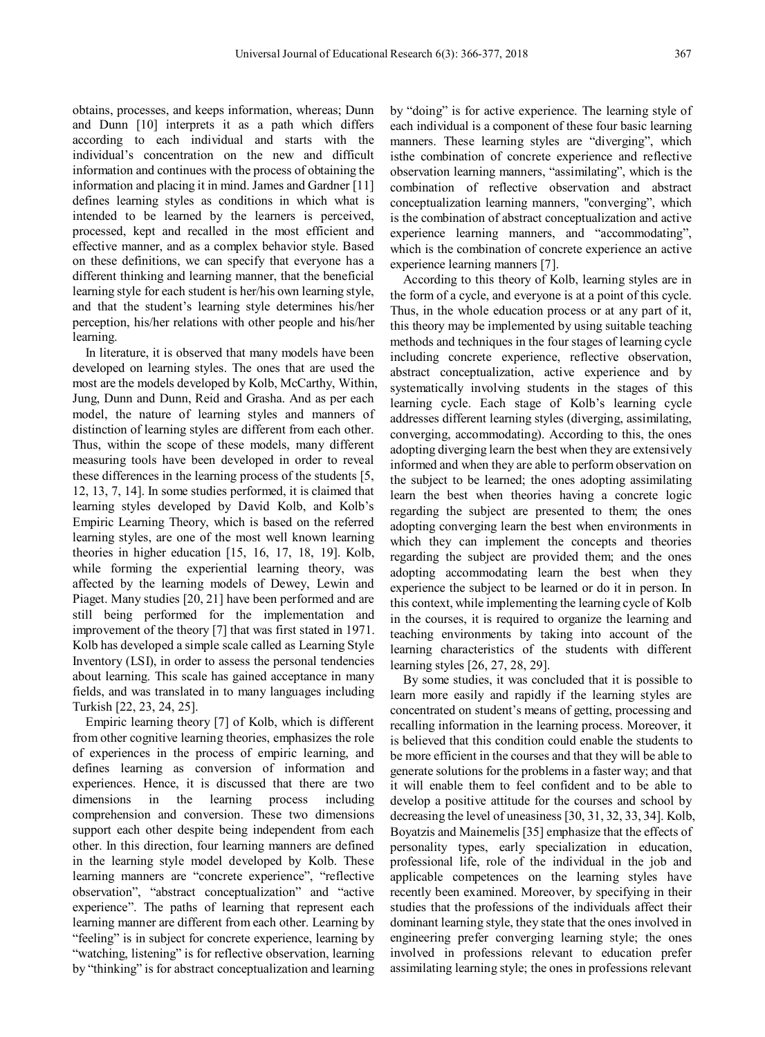obtains, processes, and keeps information, whereas; Dunn and Dunn [10] interprets it as a path which differs according to each individual and starts with the individual's concentration on the new and difficult information and continues with the process of obtaining the information and placing it in mind. James and Gardner [11] defines learning styles as conditions in which what is intended to be learned by the learners is perceived, processed, kept and recalled in the most efficient and effective manner, and as a complex behavior style. Based on these definitions, we can specify that everyone has a different thinking and learning manner, that the beneficial learning style for each student is her/his own learning style, and that the student's learning style determines his/her perception, his/her relations with other people and his/her learning.

In literature, it is observed that many models have been developed on learning styles. The ones that are used the most are the models developed by Kolb, McCarthy, Within, Jung, Dunn and Dunn, Reid and Grasha. And as per each model, the nature of learning styles and manners of distinction of learning styles are different from each other. Thus, within the scope of these models, many different measuring tools have been developed in order to reveal these differences in the learning process of the students [5, 12, 13, 7, 14]. In some studies performed, it is claimed that learning styles developed by David Kolb, and Kolb's Empiric Learning Theory, which is based on the referred learning styles, are one of the most well known learning theories in higher education [15, 16, 17, 18, 19]. Kolb, while forming the experiential learning theory, was affected by the learning models of Dewey, Lewin and Piaget. Many studies [20, 21] have been performed and are still being performed for the implementation and improvement of the theory [7] that was first stated in 1971. Kolb has developed a simple scale called as Learning Style Inventory (LSI), in order to assess the personal tendencies about learning. This scale has gained acceptance in many fields, and was translated in to many languages including Turkish [22, 23, 24, 25].

Empiric learning theory [7] of Kolb, which is different from other cognitive learning theories, emphasizes the role of experiences in the process of empiric learning, and defines learning as conversion of information and experiences. Hence, it is discussed that there are two dimensions in the learning process including comprehension and conversion. These two dimensions support each other despite being independent from each other. In this direction, four learning manners are defined in the learning style model developed by Kolb. These learning manners are "concrete experience", "reflective observation", "abstract conceptualization" and "active experience". The paths of learning that represent each learning manner are different from each other. Learning by "feeling" is in subject for concrete experience, learning by "watching, listening" is for reflective observation, learning by "thinking" is for abstract conceptualization and learning by "doing" is for active experience. The learning style of each individual is a component of these four basic learning manners. These learning styles are "diverging", which isthe combination of concrete experience and reflective observation learning manners, "assimilating", which is the combination of reflective observation and abstract conceptualization learning manners, "converging", which is the combination of abstract conceptualization and active experience learning manners, and "accommodating", which is the combination of concrete experience an active experience learning manners [7].

According to this theory of Kolb, learning styles are in the form of a cycle, and everyone is at a point of this cycle. Thus, in the whole education process or at any part of it, this theory may be implemented by using suitable teaching methods and techniques in the four stages of learning cycle including concrete experience, reflective observation, abstract conceptualization, active experience and by systematically involving students in the stages of this learning cycle. Each stage of Kolb's learning cycle addresses different learning styles (diverging, assimilating, converging, accommodating). According to this, the ones adopting diverging learn the best when they are extensively informed and when they are able to perform observation on the subject to be learned; the ones adopting assimilating learn the best when theories having a concrete logic regarding the subject are presented to them; the ones adopting converging learn the best when environments in which they can implement the concepts and theories regarding the subject are provided them; and the ones adopting accommodating learn the best when they experience the subject to be learned or do it in person. In this context, while implementing the learning cycle of Kolb in the courses, it is required to organize the learning and teaching environments by taking into account of the learning characteristics of the students with different learning styles [26, 27, 28, 29].

By some studies, it was concluded that it is possible to learn more easily and rapidly if the learning styles are concentrated on student's means of getting, processing and recalling information in the learning process. Moreover, it is believed that this condition could enable the students to be more efficient in the courses and that they will be able to generate solutions for the problems in a faster way; and that it will enable them to feel confident and to be able to develop a positive attitude for the courses and school by decreasing the level of uneasiness [30, 31, 32, 33, 34]. Kolb, Boyatzis and Mainemelis [35] emphasize that the effects of personality types, early specialization in education, professional life, role of the individual in the job and applicable competences on the learning styles have recently been examined. Moreover, by specifying in their studies that the professions of the individuals affect their dominant learning style, they state that the ones involved in engineering prefer converging learning style; the ones involved in professions relevant to education prefer assimilating learning style; the ones in professions relevant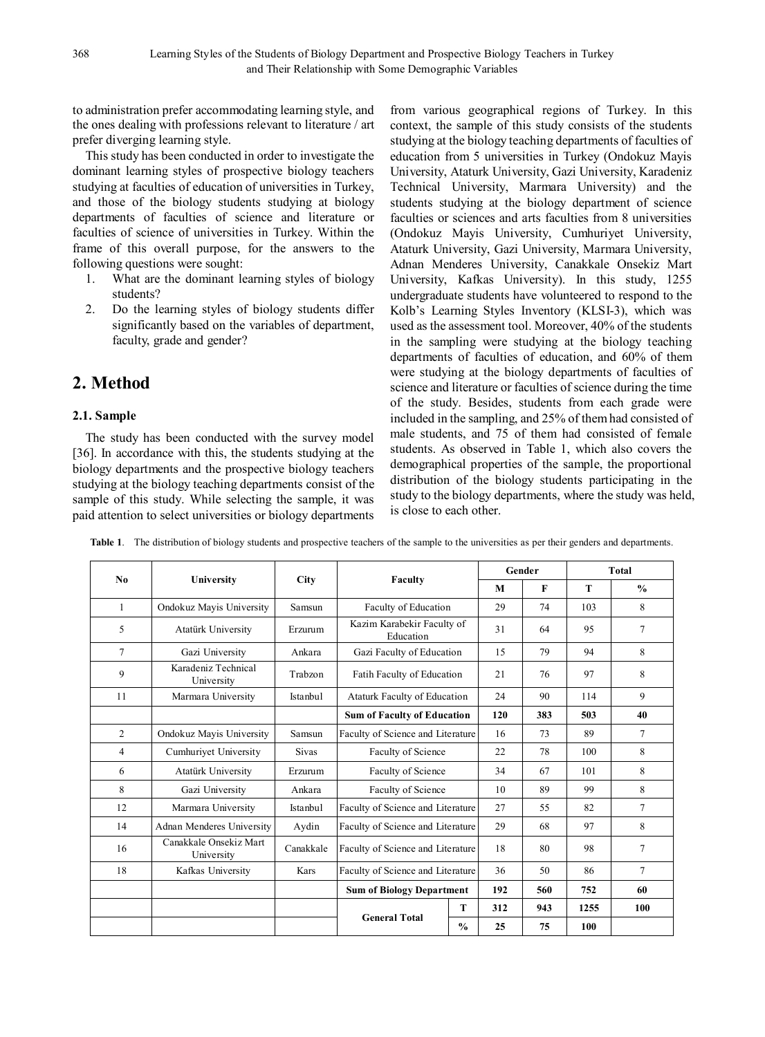to administration prefer accommodating learning style, and the ones dealing with professions relevant to literature / art prefer diverging learning style.

This study has been conducted in order to investigate the dominant learning styles of prospective biology teachers studying at faculties of education of universities in Turkey, and those of the biology students studying at biology departments of faculties of science and literature or faculties of science of universities in Turkey. Within the frame of this overall purpose, for the answers to the following questions were sought:

- 1. What are the dominant learning styles of biology students?
- 2. Do the learning styles of biology students differ significantly based on the variables of department, faculty, grade and gender?

# **2. Method**

### **2.1. Sample**

The study has been conducted with the survey model [36]. In accordance with this, the students studying at the biology departments and the prospective biology teachers studying at the biology teaching departments consist of the sample of this study. While selecting the sample, it was paid attention to select universities or biology departments

from various geographical regions of Turkey. In this context, the sample of this study consists of the students studying at the biology teaching departments of faculties of education from 5 universities in Turkey (Ondokuz Mayis University, Ataturk University, Gazi University, Karadeniz Technical University, Marmara University) and the students studying at the biology department of science faculties or sciences and arts faculties from 8 universities (Ondokuz Mayis University, Cumhuriyet University, Ataturk University, Gazi University, Marmara University, Adnan Menderes University, Canakkale Onsekiz Mart University, Kafkas University). In this study, 1255 undergraduate students have volunteered to respond to the Kolb's Learning Styles Inventory (KLSI-3), which was used as the assessment tool. Moreover, 40% of the students in the sampling were studying at the biology teaching departments of faculties of education, and 60% of them were studying at the biology departments of faculties of science and literature or faculties of science during the time of the study. Besides, students from each grade were included in the sampling, and 25% of them had consisted of male students, and 75 of them had consisted of female students. As observed in Table 1, which also covers the demographical properties of the sample, the proportional distribution of the biology students participating in the study to the biology departments, where the study was held, is close to each other.

|  |  |  |  | Table 1. The distribution of biology students and prospective teachers of the sample to the universities as per their genders and departments. |  |
|--|--|--|--|------------------------------------------------------------------------------------------------------------------------------------------------|--|
|--|--|--|--|------------------------------------------------------------------------------------------------------------------------------------------------|--|

| No           |                                      |              |                                            |                            | Gender | <b>Total</b> |        |               |
|--------------|--------------------------------------|--------------|--------------------------------------------|----------------------------|--------|--------------|--------|---------------|
|              | University                           | <b>City</b>  | Faculty                                    |                            | M      | $\mathbf{F}$ | T      | $\frac{0}{0}$ |
| $\mathbf{1}$ | Ondokuz Mayis University             | Samsun       | Faculty of Education                       | 29                         | 74     | 103          | 8      |               |
| 5            | Atatürk University                   | Erzurum      | Education                                  | Kazim Karabekir Faculty of |        |              | 95     | 7             |
| 7            | Gazi University                      | Ankara       | Gazi Faculty of Education                  |                            | 15     | 79           | 94     | 8             |
| 9            | Karadeniz Technical<br>University    | Trabzon      | Fatih Faculty of Education                 | 21                         | 76     | 97           | 8      |               |
| 11           | Marmara University                   | Istanbul     | <b>Ataturk Faculty of Education</b>        |                            | 24     | 90           | 114    | 9             |
|              |                                      |              | <b>Sum of Faculty of Education</b>         | 120                        | 383    | 503          | 40     |               |
| 2            | Ondokuz Mayis University             | Samsun       | Faculty of Science and Literature          | 16                         | 73     | 89           | 7      |               |
| 4            | Cumhurivet University                | <b>Sivas</b> | Faculty of Science                         | 22                         | 78     | 100          | 8      |               |
| 6            | Atatürk University                   | Erzurum      | Faculty of Science                         | 34                         | 67     | 101          | 8      |               |
| 8            | Gazi University                      | Ankara       | Faculty of Science                         | 10                         | 89     | 99           | 8      |               |
| 12           | Marmara University                   | Istanbul     | Faculty of Science and Literature          | 27                         | 55     | 82           | 7      |               |
| 14           | Adnan Menderes University            | Aydin        | Faculty of Science and Literature          | 29                         | 68     | 97           | 8      |               |
| 16           | Canakkale Onsekiz Mart<br>University | Canakkale    | Faculty of Science and Literature          | 18                         | 80     | 98           | 7      |               |
| 18           | Kafkas University                    | <b>Kars</b>  | Faculty of Science and Literature          | 36                         | 50     | 86           | $\tau$ |               |
|              |                                      |              | <b>Sum of Biology Department</b>           |                            | 192    | 560          | 752    | 60            |
|              |                                      |              | т<br><b>General Total</b><br>$\frac{0}{0}$ |                            | 312    | 943          | 1255   | 100           |
|              |                                      |              |                                            |                            | 25     | 75           | 100    |               |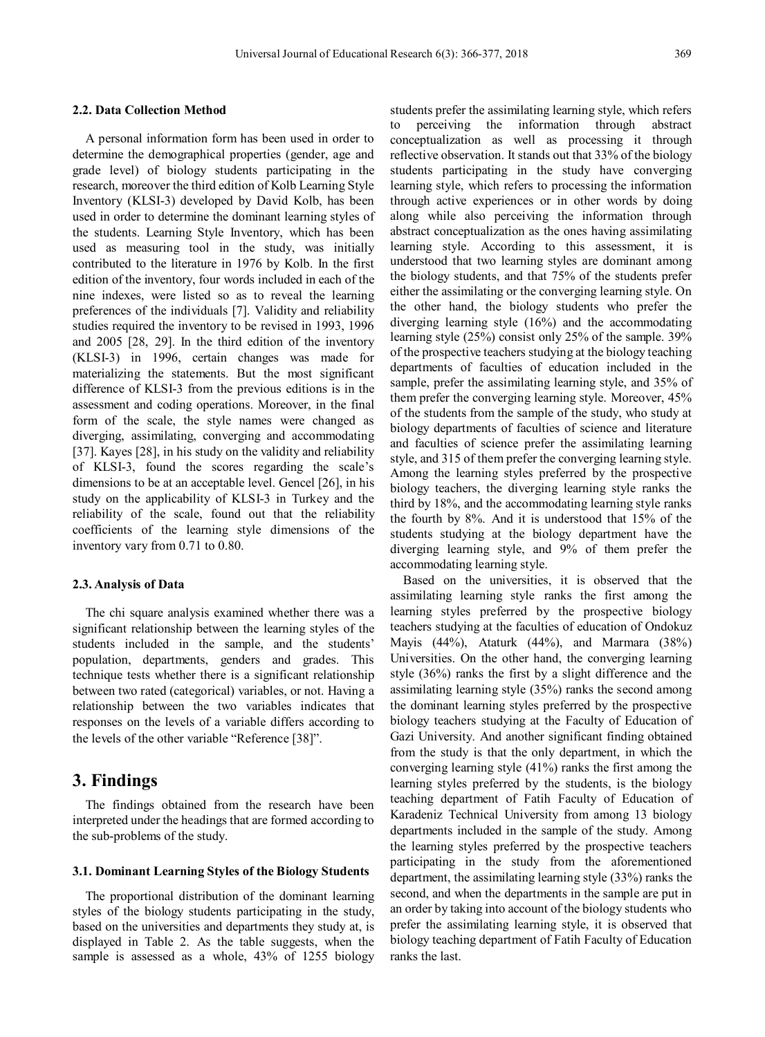#### **2.2. Data Collection Method**

A personal information form has been used in order to determine the demographical properties (gender, age and grade level) of biology students participating in the research, moreover the third edition of Kolb Learning Style Inventory (KLSI-3) developed by David Kolb, has been used in order to determine the dominant learning styles of the students. Learning Style Inventory, which has been used as measuring tool in the study, was initially contributed to the literature in 1976 by Kolb. In the first edition of the inventory, four words included in each of the nine indexes, were listed so as to reveal the learning preferences of the individuals [7]. Validity and reliability studies required the inventory to be revised in 1993, 1996 and 2005 [28, 29]. In the third edition of the inventory (KLSI-3) in 1996, certain changes was made for materializing the statements. But the most significant difference of KLSI-3 from the previous editions is in the assessment and coding operations. Moreover, in the final form of the scale, the style names were changed as diverging, assimilating, converging and accommodating [37]. Kayes [28], in his study on the validity and reliability of KLSI-3, found the scores regarding the scale's dimensions to be at an acceptable level. Gencel [26], in his study on the applicability of KLSI-3 in Turkey and the reliability of the scale, found out that the reliability coefficients of the learning style dimensions of the inventory vary from 0.71 to 0.80.

#### **2.3. Analysis of Data**

The chi square analysis examined whether there was a significant relationship between the learning styles of the students included in the sample, and the students' population, departments, genders and grades. This technique tests whether there is a significant relationship between two rated (categorical) variables, or not. Having a relationship between the two variables indicates that responses on the levels of a variable differs according to the levels of the other variable "Reference [38]".

## **3. Findings**

The findings obtained from the research have been interpreted under the headings that are formed according to the sub-problems of the study.

#### **3.1. Dominant Learning Styles of the Biology Students**

The proportional distribution of the dominant learning styles of the biology students participating in the study, based on the universities and departments they study at, is displayed in Table 2. As the table suggests, when the sample is assessed as a whole, 43% of 1255 biology students prefer the assimilating learning style, which refers to perceiving the information through abstract conceptualization as well as processing it through reflective observation. It stands out that 33% of the biology students participating in the study have converging learning style, which refers to processing the information through active experiences or in other words by doing along while also perceiving the information through abstract conceptualization as the ones having assimilating learning style. According to this assessment, it is understood that two learning styles are dominant among the biology students, and that 75% of the students prefer either the assimilating or the converging learning style. On the other hand, the biology students who prefer the diverging learning style (16%) and the accommodating learning style (25%) consist only 25% of the sample. 39% of the prospective teachers studying at the biology teaching departments of faculties of education included in the sample, prefer the assimilating learning style, and 35% of them prefer the converging learning style. Moreover, 45% of the students from the sample of the study, who study at biology departments of faculties of science and literature and faculties of science prefer the assimilating learning style, and 315 of them prefer the converging learning style. Among the learning styles preferred by the prospective biology teachers, the diverging learning style ranks the third by 18%, and the accommodating learning style ranks the fourth by 8%. And it is understood that 15% of the students studying at the biology department have the diverging learning style, and 9% of them prefer the accommodating learning style.

Based on the universities, it is observed that the assimilating learning style ranks the first among the learning styles preferred by the prospective biology teachers studying at the faculties of education of Ondokuz Mayis (44%), Ataturk (44%), and Marmara (38%) Universities. On the other hand, the converging learning style (36%) ranks the first by a slight difference and the assimilating learning style (35%) ranks the second among the dominant learning styles preferred by the prospective biology teachers studying at the Faculty of Education of Gazi University. And another significant finding obtained from the study is that the only department, in which the converging learning style (41%) ranks the first among the learning styles preferred by the students, is the biology teaching department of Fatih Faculty of Education of Karadeniz Technical University from among 13 biology departments included in the sample of the study. Among the learning styles preferred by the prospective teachers participating in the study from the aforementioned department, the assimilating learning style (33%) ranks the second, and when the departments in the sample are put in an order by taking into account of the biology students who prefer the assimilating learning style, it is observed that biology teaching department of Fatih Faculty of Education ranks the last.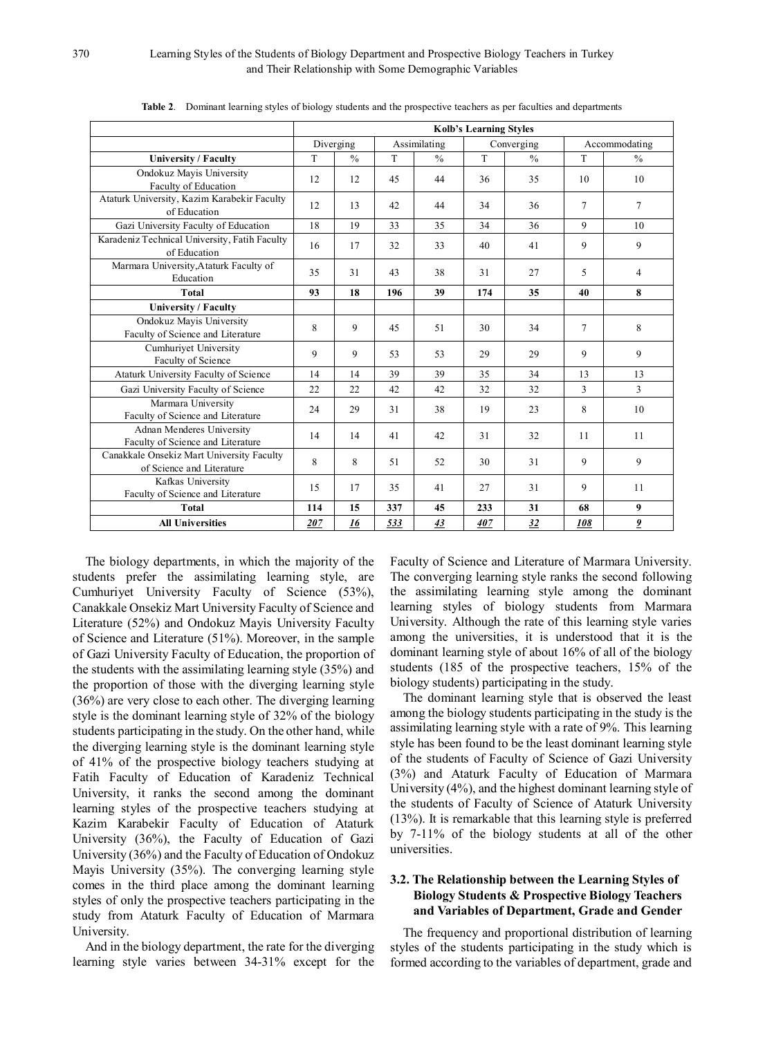|                                                                        | <b>Kolb's Learning Styles</b> |               |              |               |            |               |                |                         |
|------------------------------------------------------------------------|-------------------------------|---------------|--------------|---------------|------------|---------------|----------------|-------------------------|
|                                                                        |                               | Diverging     | Assimilating |               | Converging |               | Accommodating  |                         |
| <b>University / Faculty</b>                                            |                               | $\frac{0}{0}$ | T            | $\frac{0}{0}$ | T          | $\frac{0}{n}$ | T              | $\frac{0}{0}$           |
| Ondokuz Mayis University<br>Faculty of Education                       | 12                            | 12            | 45           | 44            | 36         | 35            | 10             | 10                      |
| Ataturk University, Kazim Karabekir Faculty<br>of Education            | 12                            | 13            | 42           | 44            | 34         | 36            | $\overline{7}$ | $\overline{7}$          |
| Gazi University Faculty of Education                                   | 18                            | 19            | 33           | 35            | 34         | 36            | 9              | 10                      |
| Karadeniz Technical University, Fatih Faculty<br>of Education          | 16                            | 17            | 32           | 33            | 40         | 41            | 9              | 9                       |
| Marmara University, Ataturk Faculty of<br>Education                    | 35                            | 31            | 43           | 38            | 31         | 27            | 5              | 4                       |
| <b>Total</b>                                                           |                               | 18            | 196          | 39            | 174        | 35            | 40             | 8                       |
| <b>University / Faculty</b>                                            |                               |               |              |               |            |               |                |                         |
| Ondokuz Mayis University<br>Faculty of Science and Literature          | 8                             | 9             | 45           | 51            | 30         | 34            | $\tau$         | 8                       |
| Cumhuriyet University<br>Faculty of Science                            | 9                             | 9             | 53           | 53            | 29         | 29            | 9              | 9                       |
| Ataturk University Faculty of Science                                  | 14                            | 14            | 39           | 39            | 35         | 34            | 13             | 13                      |
| Gazi University Faculty of Science                                     | 22                            | 22            | 42           | 42            | 32         | 32            | 3              | 3                       |
| Marmara University<br>Faculty of Science and Literature                | 24                            | 29            | 31           | 38            | 19         | 23            | 8              | 10                      |
| Adnan Menderes University<br>Faculty of Science and Literature         | 14                            | 14            | 41           | 42            | 31         | 32            | 11             | 11                      |
| Canakkale Onsekiz Mart University Faculty<br>of Science and Literature | 8                             | 8             | 51           | 52            | 30         | 31            | 9              | 9                       |
| Kafkas University<br>Faculty of Science and Literature                 | 15                            | 17            | 35           | 41            | 27         | 31            | 9              | 11                      |
| <b>Total</b>                                                           | 114                           | 15            | 337          | 45            | 233        | 31            | 68             | 9                       |
| <b>All Universities</b>                                                | 207                           | 16            | 533          | 43            | 407        | 32            | 108            | $\overline{\mathbf{2}}$ |

**Table 2**. Dominant learning styles of biology students and the prospective teachers as per faculties and departments

The biology departments, in which the majority of the students prefer the assimilating learning style, are Cumhuriyet University Faculty of Science (53%), Canakkale Onsekiz Mart University Faculty of Science and Literature (52%) and Ondokuz Mayis University Faculty of Science and Literature (51%). Moreover, in the sample of Gazi University Faculty of Education, the proportion of the students with the assimilating learning style (35%) and the proportion of those with the diverging learning style (36%) are very close to each other. The diverging learning style is the dominant learning style of 32% of the biology students participating in the study. On the other hand, while the diverging learning style is the dominant learning style of 41% of the prospective biology teachers studying at Fatih Faculty of Education of Karadeniz Technical University, it ranks the second among the dominant learning styles of the prospective teachers studying at Kazim Karabekir Faculty of Education of Ataturk University (36%), the Faculty of Education of Gazi University (36%) and the Faculty of Education of Ondokuz Mayis University (35%). The converging learning style comes in the third place among the dominant learning styles of only the prospective teachers participating in the study from Ataturk Faculty of Education of Marmara University.

And in the biology department, the rate for the diverging learning style varies between 34-31% except for the Faculty of Science and Literature of Marmara University. The converging learning style ranks the second following the assimilating learning style among the dominant learning styles of biology students from Marmara University. Although the rate of this learning style varies among the universities, it is understood that it is the dominant learning style of about 16% of all of the biology students (185 of the prospective teachers, 15% of the biology students) participating in the study.

The dominant learning style that is observed the least among the biology students participating in the study is the assimilating learning style with a rate of 9%. This learning style has been found to be the least dominant learning style of the students of Faculty of Science of Gazi University (3%) and Ataturk Faculty of Education of Marmara University (4%), and the highest dominant learning style of the students of Faculty of Science of Ataturk University (13%). It is remarkable that this learning style is preferred by 7-11% of the biology students at all of the other universities.

#### **3.2. The Relationship between the Learning Styles of Biology Students & Prospective Biology Teachers and Variables of Department, Grade and Gender**

The frequency and proportional distribution of learning styles of the students participating in the study which is formed according to the variables of department, grade and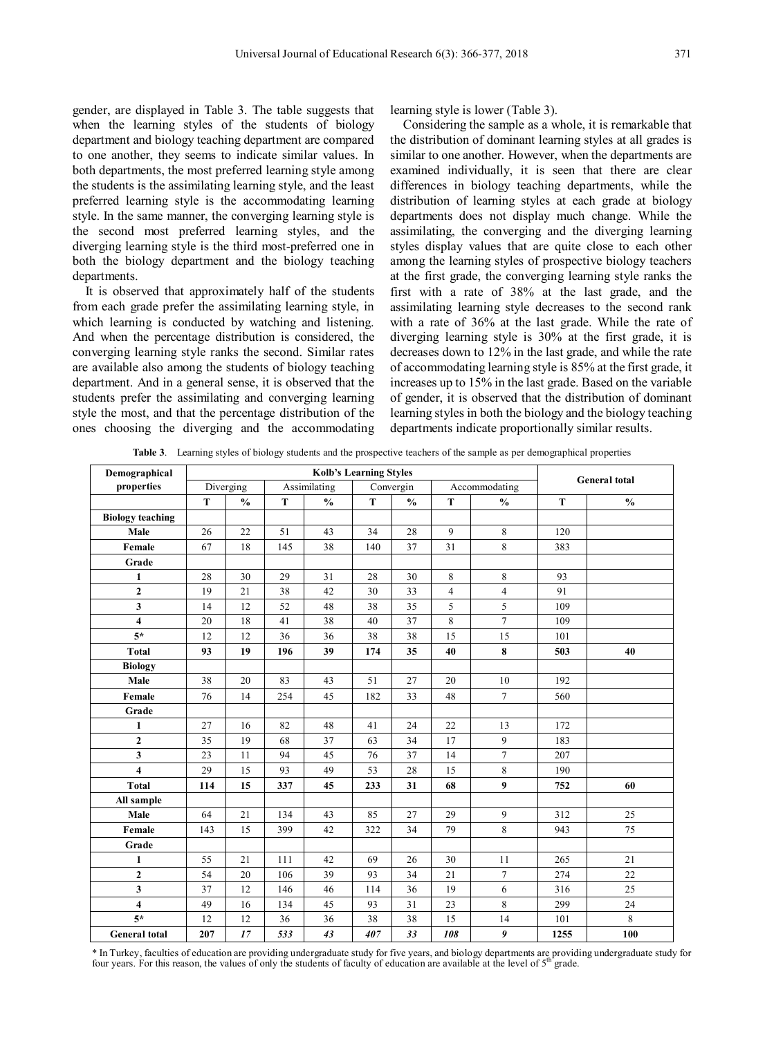gender, are displayed in Table 3. The table suggests that when the learning styles of the students of biology department and biology teaching department are compared to one another, they seems to indicate similar values. In both departments, the most preferred learning style among the students is the assimilating learning style, and the least preferred learning style is the accommodating learning style. In the same manner, the converging learning style is the second most preferred learning styles, and the diverging learning style is the third most-preferred one in both the biology department and the biology teaching departments.

It is observed that approximately half of the students from each grade prefer the assimilating learning style, in which learning is conducted by watching and listening. And when the percentage distribution is considered, the converging learning style ranks the second. Similar rates are available also among the students of biology teaching department. And in a general sense, it is observed that the students prefer the assimilating and converging learning style the most, and that the percentage distribution of the ones choosing the diverging and the accommodating learning style is lower (Table 3).

Considering the sample as a whole, it is remarkable that the distribution of dominant learning styles at all grades is similar to one another. However, when the departments are examined individually, it is seen that there are clear differences in biology teaching departments, while the distribution of learning styles at each grade at biology departments does not display much change. While the assimilating, the converging and the diverging learning styles display values that are quite close to each other among the learning styles of prospective biology teachers at the first grade, the converging learning style ranks the first with a rate of 38% at the last grade, and the assimilating learning style decreases to the second rank with a rate of 36% at the last grade. While the rate of diverging learning style is 30% at the first grade, it is decreases down to 12% in the last grade, and while the rate of accommodating learning style is 85% at the first grade, it increases up to 15% in the last grade. Based on the variable of gender, it is observed that the distribution of dominant learning styles in both the biology and the biology teaching departments indicate proportionally similar results.

**Table 3**. Learning styles of biology students and the prospective teachers of the sample as per demographical properties

| Demographical           | Kolb's Learning Styles |               |              |               |           |               |                |                  |      | <b>General total</b> |  |
|-------------------------|------------------------|---------------|--------------|---------------|-----------|---------------|----------------|------------------|------|----------------------|--|
| properties              | Diverging              |               | Assimilating |               | Convergin |               | Accommodating  |                  |      |                      |  |
|                         | T                      | $\frac{0}{0}$ | T            | $\frac{0}{0}$ | T         | $\frac{0}{0}$ | T              | $\frac{6}{6}$    | T    | $\frac{0}{0}$        |  |
| <b>Biology teaching</b> |                        |               |              |               |           |               |                |                  |      |                      |  |
| Male                    | 26                     | 22            | 51           | 43            | 34        | 28            | 9              | 8                | 120  |                      |  |
| Female                  | 67                     | 18            | 145          | 38            | 140       | 37            | 31             | 8                | 383  |                      |  |
| Grade                   |                        |               |              |               |           |               |                |                  |      |                      |  |
| $\mathbf{1}$            | 28                     | 30            | 29           | 31            | 28        | 30            | $\,8\,$        | 8                | 93   |                      |  |
| $\overline{2}$          | 19                     | 21            | 38           | 42            | 30        | 33            | $\overline{4}$ | $\overline{4}$   | 91   |                      |  |
| 3                       | 14                     | 12            | 52           | 48            | 38        | 35            | 5              | 5                | 109  |                      |  |
| $\overline{\mathbf{4}}$ | 20                     | 18            | 41           | 38            | 40        | 37            | 8              | $\overline{7}$   | 109  |                      |  |
| $5*$                    | 12                     | 12            | 36           | 36            | 38        | 38            | 15             | 15               | 101  |                      |  |
| <b>Total</b>            | 93                     | 19            | 196          | 39            | 174       | 35            | 40             | $\bf 8$          | 503  | 40                   |  |
| <b>Biology</b>          |                        |               |              |               |           |               |                |                  |      |                      |  |
| Male                    | 38                     | 20            | 83           | 43            | 51        | 27            | 20             | 10               | 192  |                      |  |
| Female                  | 76                     | 14            | 254          | 45            | 182       | 33            | 48             | $7\overline{ }$  | 560  |                      |  |
| Grade                   |                        |               |              |               |           |               |                |                  |      |                      |  |
| $\mathbf{1}$            | 27                     | 16            | 82           | 48            | 41        | 24            | 22             | 13               | 172  |                      |  |
| $\mathbf{2}$            | 35                     | 19            | 68           | 37            | 63        | 34            | 17             | $\overline{9}$   | 183  |                      |  |
| 3                       | 23                     | 11            | 94           | 45            | 76        | 37            | 14             | $\tau$           | 207  |                      |  |
| $\overline{\mathbf{4}}$ | 29                     | 15            | 93           | 49            | 53        | 28            | 15             | $\,8\,$          | 190  |                      |  |
| <b>Total</b>            | 114                    | 15            | 337          | 45            | 233       | 31            | 68             | $\boldsymbol{9}$ | 752  | 60                   |  |
| All sample              |                        |               |              |               |           |               |                |                  |      |                      |  |
| Male                    | 64                     | 21            | 134          | 43            | 85        | 27            | 29             | 9                | 312  | 25                   |  |
| Female                  | 143                    | 15            | 399          | 42            | 322       | 34            | 79             | $\,8\,$          | 943  | 75                   |  |
| Grade                   |                        |               |              |               |           |               |                |                  |      |                      |  |
| $\mathbf{1}$            | 55                     | 21            | 111          | 42            | 69        | 26            | 30             | 11               | 265  | 21                   |  |
| $\mathbf 2$             | 54                     | 20            | 106          | 39            | 93        | 34            | 21             | $7\phantom{.0}$  | 274  | 22                   |  |
| 3                       | 37                     | 12            | 146          | 46            | 114       | 36            | 19             | 6                | 316  | 25                   |  |
| $\overline{\mathbf{4}}$ | 49                     | 16            | 134          | 45            | 93        | 31            | 23             | $\,8\,$          | 299  | 24                   |  |
| $5^*$                   | 12                     | 12            | 36           | 36            | 38        | 38            | 15             | 14               | 101  | 8                    |  |
| <b>General</b> total    | 207                    | 17            | 533          | 43            | 407       | 33            | 108            | 9                | 1255 | 100                  |  |

\* In Turkey, faculties of education are providing undergraduate study for five years, and biology departments are providing undergraduate study for four years. For this reason, the values of only the students of faculty of education are available at the level of  $5<sup>th</sup>$  grade.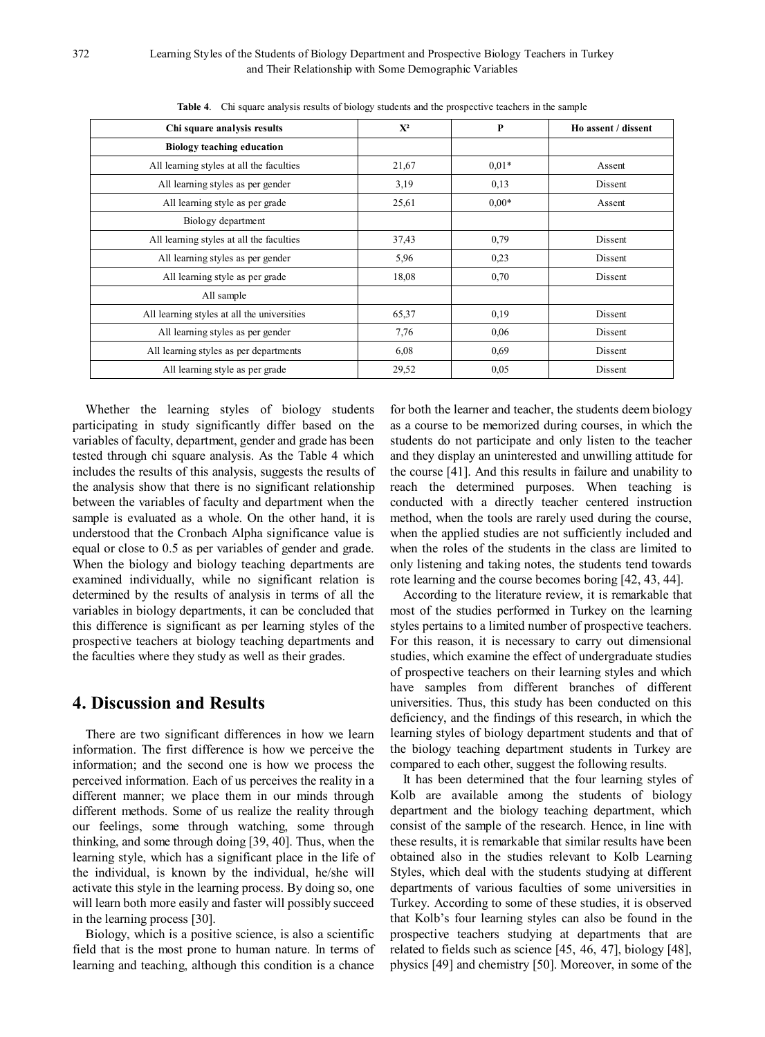| Chi square analysis results                 | $X^2$ | P       | Ho assent / dissent |  |
|---------------------------------------------|-------|---------|---------------------|--|
| <b>Biology teaching education</b>           |       |         |                     |  |
| All learning styles at all the faculties    | 21,67 | $0.01*$ | Assent              |  |
| All learning styles as per gender           | 3,19  | 0,13    | Dissent             |  |
| All learning style as per grade             | 25,61 | $0.00*$ | Assent              |  |
| Biology department                          |       |         |                     |  |
| All learning styles at all the faculties    | 37,43 | 0,79    | Dissent             |  |
| All learning styles as per gender           | 5,96  | 0.23    | Dissent             |  |
| All learning style as per grade             | 18,08 | 0,70    | Dissent             |  |
| All sample                                  |       |         |                     |  |
| All learning styles at all the universities | 65,37 | 0,19    | Dissent             |  |
| All learning styles as per gender           | 7,76  | 0.06    | Dissent             |  |
| All learning styles as per departments      | 6,08  | 0.69    | Dissent             |  |
| All learning style as per grade             | 29,52 | 0.05    | Dissent             |  |

**Table 4**. Chi square analysis results of biology students and the prospective teachers in the sample

Whether the learning styles of biology students participating in study significantly differ based on the variables of faculty, department, gender and grade has been tested through chi square analysis. As the Table 4 which includes the results of this analysis, suggests the results of the analysis show that there is no significant relationship between the variables of faculty and department when the sample is evaluated as a whole. On the other hand, it is understood that the Cronbach Alpha significance value is equal or close to 0.5 as per variables of gender and grade. When the biology and biology teaching departments are examined individually, while no significant relation is determined by the results of analysis in terms of all the variables in biology departments, it can be concluded that this difference is significant as per learning styles of the prospective teachers at biology teaching departments and the faculties where they study as well as their grades.

## **4. Discussion and Results**

There are two significant differences in how we learn information. The first difference is how we perceive the information; and the second one is how we process the perceived information. Each of us perceives the reality in a different manner; we place them in our minds through different methods. Some of us realize the reality through our feelings, some through watching, some through thinking, and some through doing [39, 40]. Thus, when the learning style, which has a significant place in the life of the individual, is known by the individual, he/she will activate this style in the learning process. By doing so, one will learn both more easily and faster will possibly succeed in the learning process [30].

Biology, which is a positive science, is also a scientific field that is the most prone to human nature. In terms of learning and teaching, although this condition is a chance

for both the learner and teacher, the students deem biology as a course to be memorized during courses, in which the students do not participate and only listen to the teacher and they display an uninterested and unwilling attitude for the course [41]. And this results in failure and unability to reach the determined purposes. When teaching is conducted with a directly teacher centered instruction method, when the tools are rarely used during the course, when the applied studies are not sufficiently included and when the roles of the students in the class are limited to only listening and taking notes, the students tend towards rote learning and the course becomes boring [42, 43, 44].

According to the literature review, it is remarkable that most of the studies performed in Turkey on the learning styles pertains to a limited number of prospective teachers. For this reason, it is necessary to carry out dimensional studies, which examine the effect of undergraduate studies of prospective teachers on their learning styles and which have samples from different branches of different universities. Thus, this study has been conducted on this deficiency, and the findings of this research, in which the learning styles of biology department students and that of the biology teaching department students in Turkey are compared to each other, suggest the following results.

It has been determined that the four learning styles of Kolb are available among the students of biology department and the biology teaching department, which consist of the sample of the research. Hence, in line with these results, it is remarkable that similar results have been obtained also in the studies relevant to Kolb Learning Styles, which deal with the students studying at different departments of various faculties of some universities in Turkey. According to some of these studies, it is observed that Kolb's four learning styles can also be found in the prospective teachers studying at departments that are related to fields such as science [45, 46, 47], biology [48], physics [49] and chemistry [50]. Moreover, in some of the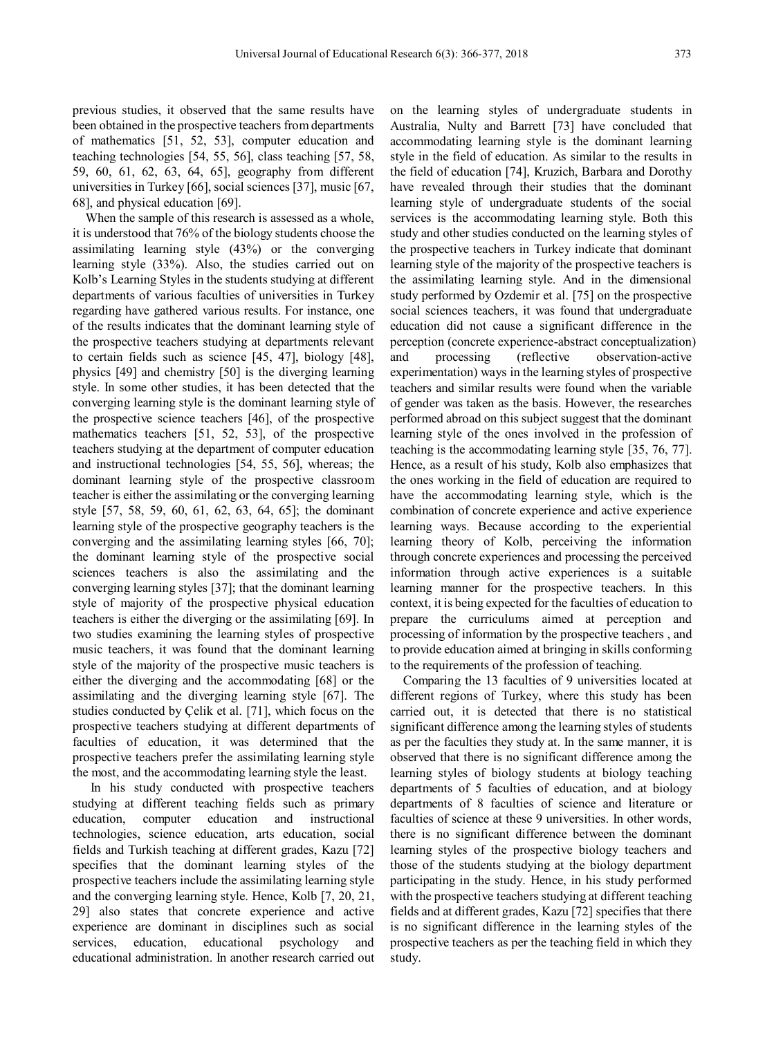previous studies, it observed that the same results have been obtained in the prospective teachers from departments of mathematics [51, 52, 53], computer education and teaching technologies [54, 55, 56], class teaching [57, 58, 59, 60, 61, 62, 63, 64, 65], geography from different universities in Turkey [66], social sciences [37], music [67, 68], and physical education [69].

When the sample of this research is assessed as a whole, it is understood that 76% of the biology students choose the assimilating learning style (43%) or the converging learning style (33%). Also, the studies carried out on Kolb's Learning Styles in the students studying at different departments of various faculties of universities in Turkey regarding have gathered various results. For instance, one of the results indicates that the dominant learning style of the prospective teachers studying at departments relevant to certain fields such as science [45, 47], biology [48], physics [49] and chemistry [50] is the diverging learning style. In some other studies, it has been detected that the converging learning style is the dominant learning style of the prospective science teachers [46], of the prospective mathematics teachers [51, 52, 53], of the prospective teachers studying at the department of computer education and instructional technologies [54, 55, 56], whereas; the dominant learning style of the prospective classroom teacher is either the assimilating or the converging learning style [57, 58, 59, 60, 61, 62, 63, 64, 65]; the dominant learning style of the prospective geography teachers is the converging and the assimilating learning styles [66, 70]; the dominant learning style of the prospective social sciences teachers is also the assimilating and the converging learning styles [37]; that the dominant learning style of majority of the prospective physical education teachers is either the diverging or the assimilating [69]. In two studies examining the learning styles of prospective music teachers, it was found that the dominant learning style of the majority of the prospective music teachers is either the diverging and the accommodating [68] or the assimilating and the diverging learning style [67]. The studies conducted by Çelik et al. [71], which focus on the prospective teachers studying at different departments of faculties of education, it was determined that the prospective teachers prefer the assimilating learning style the most, and the accommodating learning style the least.

In his study conducted with prospective teachers studying at different teaching fields such as primary education, computer education and instructional technologies, science education, arts education, social fields and Turkish teaching at different grades, Kazu [72] specifies that the dominant learning styles of the prospective teachers include the assimilating learning style and the converging learning style. Hence, Kolb [7, 20, 21, 29] also states that concrete experience and active experience are dominant in disciplines such as social services, education, educational psychology and educational administration. In another research carried out

on the learning styles of undergraduate students in Australia, Nulty and Barrett [73] have concluded that accommodating learning style is the dominant learning style in the field of education. As similar to the results in the field of education [74], Kruzich, Barbara and Dorothy have revealed through their studies that the dominant learning style of undergraduate students of the social services is the accommodating learning style. Both this study and other studies conducted on the learning styles of the prospective teachers in Turkey indicate that dominant learning style of the majority of the prospective teachers is the assimilating learning style. And in the dimensional study performed by Ozdemir et al. [75] on the prospective social sciences teachers, it was found that undergraduate education did not cause a significant difference in the perception (concrete experience-abstract conceptualization) and processing (reflective observation-active experimentation) ways in the learning styles of prospective teachers and similar results were found when the variable of gender was taken as the basis. However, the researches performed abroad on this subject suggest that the dominant learning style of the ones involved in the profession of teaching is the accommodating learning style [35, 76, 77]. Hence, as a result of his study, Kolb also emphasizes that the ones working in the field of education are required to have the accommodating learning style, which is the combination of concrete experience and active experience learning ways. Because according to the experiential learning theory of Kolb, perceiving the information through concrete experiences and processing the perceived information through active experiences is a suitable learning manner for the prospective teachers. In this context, it is being expected for the faculties of education to prepare the curriculums aimed at perception and processing of information by the prospective teachers , and to provide education aimed at bringing in skills conforming to the requirements of the profession of teaching.

Comparing the 13 faculties of 9 universities located at different regions of Turkey, where this study has been carried out, it is detected that there is no statistical significant difference among the learning styles of students as per the faculties they study at. In the same manner, it is observed that there is no significant difference among the learning styles of biology students at biology teaching departments of 5 faculties of education, and at biology departments of 8 faculties of science and literature or faculties of science at these 9 universities. In other words, there is no significant difference between the dominant learning styles of the prospective biology teachers and those of the students studying at the biology department participating in the study. Hence, in his study performed with the prospective teachers studying at different teaching fields and at different grades, Kazu [72] specifies that there is no significant difference in the learning styles of the prospective teachers as per the teaching field in which they study.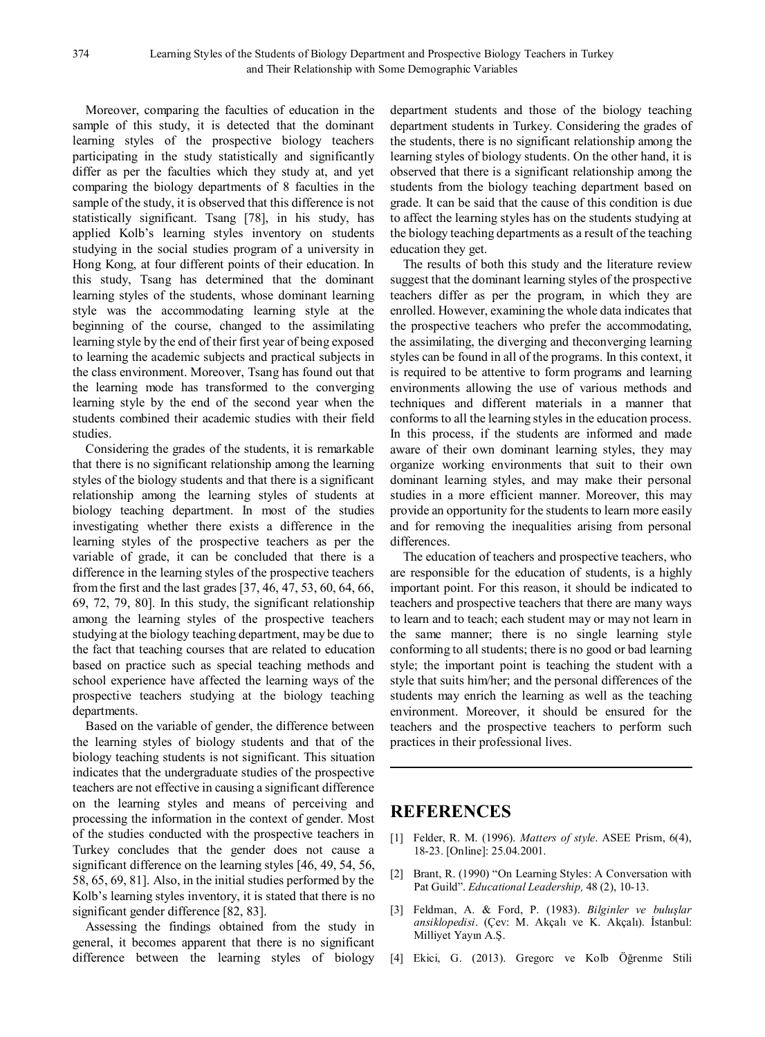Moreover, comparing the faculties of education in the sample of this study, it is detected that the dominant learning styles of the prospective biology teachers participating in the study statistically and significantly differ as per the faculties which they study at, and yet comparing the biology departments of 8 faculties in the sample of the study, it is observed that this difference is not statistically significant. Tsang [78], in his study, has applied Kolb's learning styles inventory on students studying in the social studies program of a university in Hong Kong, at four different points of their education. In this study, Tsang has determined that the dominant learning styles of the students, whose dominant learning style was the accommodating learning style at the beginning of the course, changed to the assimilating learning style by the end of their first year of being exposed to learning the academic subjects and practical subjects in the class environment. Moreover, Tsang has found out that the learning mode has transformed to the converging learning style by the end of the second year when the students combined their academic studies with their field studies.

Considering the grades of the students, it is remarkable that there is no significant relationship among the learning styles of the biology students and that there is a significant relationship among the learning styles of students at biology teaching department. In most of the studies investigating whether there exists a difference in the learning styles of the prospective teachers as per the variable of grade, it can be concluded that there is a difference in the learning styles of the prospective teachers from the first and the last grades [37, 46, 47, 53, 60, 64, 66, 69, 72, 79, 80]. In this study, the significant relationship among the learning styles of the prospective teachers studying at the biology teaching department, may be due to the fact that teaching courses that are related to education based on practice such as special teaching methods and school experience have affected the learning ways of the prospective teachers studying at the biology teaching departments.

Based on the variable of gender, the difference between the learning styles of biology students and that of the biology teaching students is not significant. This situation indicates that the undergraduate studies of the prospective teachers are not effective in causing a significant difference on the learning styles and means of perceiving and processing the information in the context of gender. Most of the studies conducted with the prospective teachers in Turkey concludes that the gender does not cause a significant difference on the learning styles [46, 49, 54, 56, 58, 65, 69, 81]. Also, in the initial studies performed by the Kolb's learning styles inventory, it is stated that there is no significant gender difference [82, 83].

Assessing the findings obtained from the study in general, it becomes apparent that there is no significant difference between the learning styles of biology department students and those of the biology teaching department students in Turkey. Considering the grades of the students, there is no significant relationship among the learning styles of biology students. On the other hand, it is observed that there is a significant relationship among the students from the biology teaching department based on grade. It can be said that the cause of this condition is due to affect the learning styles has on the students studying at the biology teaching departments as a result of the teaching education they get.

The results of both this study and the literature review suggest that the dominant learning styles of the prospective teachers differ as per the program, in which they are enrolled. However, examining the whole data indicates that the prospective teachers who prefer the accommodating, the assimilating, the diverging and theconverging learning styles can be found in all of the programs. In this context, it is required to be attentive to form programs and learning environments allowing the use of various methods and techniques and different materials in a manner that conforms to all the learning styles in the education process. In this process, if the students are informed and made aware of their own dominant learning styles, they may organize working environments that suit to their own dominant learning styles, and may make their personal studies in a more efficient manner. Moreover, this may provide an opportunity for the students to learn more easily and for removing the inequalities arising from personal differences.

The education of teachers and prospective teachers, who are responsible for the education of students, is a highly important point. For this reason, it should be indicated to teachers and prospective teachers that there are many ways to learn and to teach; each student may or may not learn in the same manner; there is no single learning style conforming to all students; there is no good or bad learning style; the important point is teaching the student with a style that suits him/her; and the personal differences of the students may enrich the learning as well as the teaching environment. Moreover, it should be ensured for the teachers and the prospective teachers to perform such practices in their professional lives.

## **REFERENCES**

- [1] Felder, R. M. (1996). *Matters of style*. ASEE Prism, 6(4), 18-23. [Online]: 25.04.2001.
- [2] Brant, R. (1990) "On Learning Styles: A Conversation with Pat Guild". *Educational Leadership,* 48 (2), 10-13.
- [3] Feldman, A. & Ford, P. (1983). *Bilginler ve buluşlar ansiklopedisi*. (Çev: M. Akçalı ve K. Akçalı). İstanbul: Milliyet Yayın A.Ş.
- [4] Ekici, G. (2013). Gregorc ve Kolb Öğrenme Stili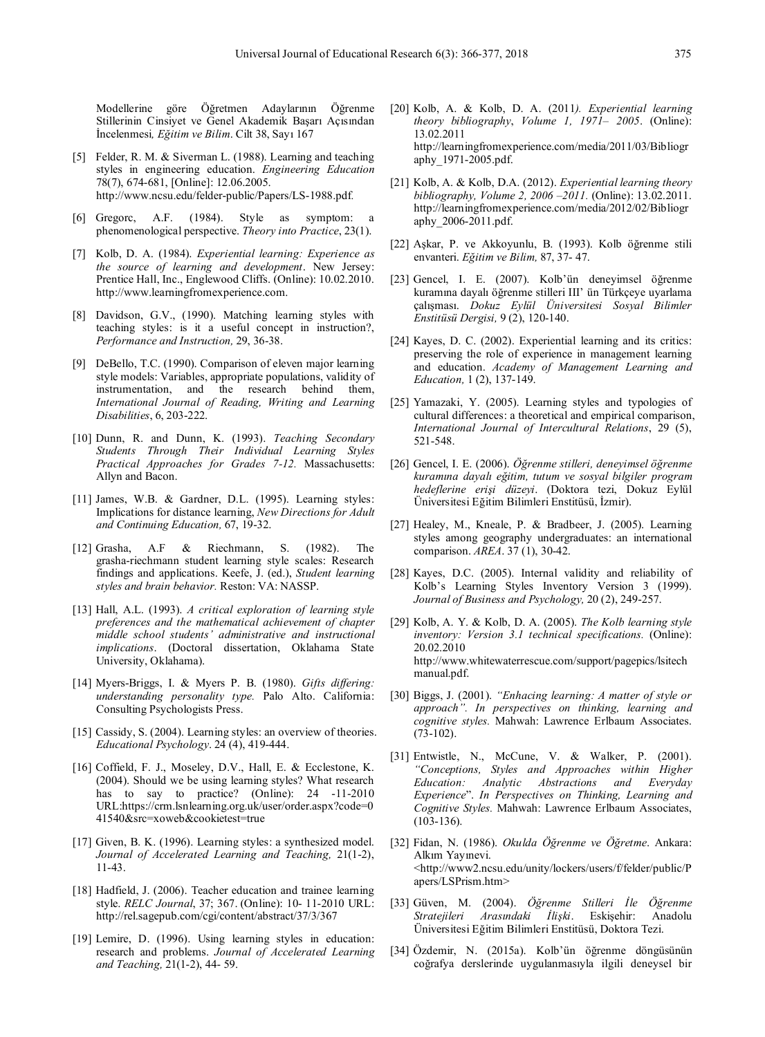Modellerine göre Öğretmen Adaylarının Öğrenme Stillerinin Cinsiyet ve Genel Akademik Başarı Açısından İncelenmesi*, Eğitim ve Bilim*. Cilt 38, Sayı 167

- [5] Felder, R. M. & Siverman L. (1988). Learning and teaching styles in engineering education. *Engineering Education* 78(7), 674-681, [Online]: 12.06.2005. http://www.ncsu.edu/felder-public/Papers/LS-1988.pdf*.*
- [6] Gregorc, A.F. (1984). Style as symptom: a phenomenological perspective. *Theory into Practice*, 23(1).
- [7] Kolb, D. A. (1984). *Experiential learning: Experience as the source of learning and development*. New Jersey: Prentice Hall, Inc., Englewood Cliffs. (Online): 10.02.2010. http://www.learningfromexperience.com.
- [8] Davidson, G.V., (1990). Matching learning styles with teaching styles: is it a useful concept in instruction?, *Performance and Instruction,* 29, 36-38.
- [9] DeBello, T.C. (1990). Comparison of eleven major learning style models: Variables, appropriate populations, validity of instrumentation, and the research behind them, *International Journal of Reading, Writing and Learning Disabilities*, 6, 203-222.
- [10] Dunn, R. and Dunn, K. (1993). *Teaching Secondary Students Through Their Individual Learning Styles Practical Approaches for Grades 7-12.* Massachusetts: Allyn and Bacon.
- [11] James, W.B. & Gardner, D.L. (1995). Learning styles: Implications for distance learning, *New Directions for Adult and Continuing Education,* 67, 19-32.
- [12] Grasha, A.F & Riechmann, S. (1982). The grasha-riechmann student learning style scales: Research findings and applications. Keefe, J. (ed.), *Student learning styles and brain behavior.* Reston: VA: NASSP.
- [13] Hall, A.L. (1993). *A critical exploration of learning style preferences and the mathematical achievement of chapter middle school students' administrative and instructional implications*. (Doctoral dissertation, Oklahama State University, Oklahama).
- [14] Myers-Briggs, I. & Myers P. B. (1980). *Gifts differing: understanding personality type.* Palo Alto. California: Consulting Psychologists Press.
- [15] Cassidy, S. (2004). Learning styles: an overview of theories. *Educational Psychology*. 24 (4), 419-444.
- [16] Coffield, F. J., Moseley, D.V., Hall, E. & Ecclestone, K. (2004). Should we be using learning styles? What research has to say to practice? (Online): 24 -11-2010 URL:https://crm.lsnlearning.org.uk/user/order.aspx?code=0 41540&src=xoweb&cookietest=true
- [17] Given, B. K. (1996). Learning styles: a synthesized model. *Journal of Accelerated Learning and Teaching,* 21(1-2), 11-43.
- [18] Hadfield, J. (2006). Teacher education and trainee learning style. *RELC Journal*, 37; 367. (Online): 10- 11-2010 URL: http://rel.sagepub.com/cgi/content/abstract/37/3/367
- [19] Lemire, D. (1996). Using learning styles in education: research and problems. *Journal of Accelerated Learning and Teaching,* 21(1-2), 44- 59.
- [20] Kolb, A. & Kolb, D. A. (2011*). Experiential learning theory bibliography*, *Volume 1, 1971*– *2005*. (Online): 13.02.2011 http://learningfromexperience.com/media/2011/03/Bibliogr aphy\_1971-2005.pdf.
- [21] Kolb, A. & Kolb, D.A. (2012). *Experiential learning theory bibliography, Volume 2, 2006 –2011.* (Online): 13.02.2011. http://learningfromexperience.com/media/2012/02/Bibliogr aphy\_2006-2011.pdf.
- [22] Aşkar, P. ve Akkoyunlu, B. (1993). Kolb öğrenme stili envanteri. *Eğitim ve Bilim,* 87, 37- 47.
- [23] Gencel, I. E. (2007). Kolb'ün deneyimsel öğrenme kuramına dayalı öğrenme stilleri III' ün Türkçeye uyarlama çalışması. *Dokuz Eylül Üniversitesi Sosyal Bilimler Enstitüsü Dergisi,* 9 (2), 120-140.
- [24] Kayes, D. C. (2002). Experiential learning and its critics: preserving the role of experience in management learning and education. *Academy of Management Learning and Education,* 1 (2), 137-149.
- [25] Yamazaki, Y. (2005). Learning styles and typologies of cultural differences: a theoretical and empirical comparison, *International Journal of Intercultural Relations*, 29 (5), 521-548.
- [26] Gencel, I. E. (2006). *Öğrenme stilleri, deneyimsel öğrenme kuramına dayalı eğitim, tutum ve sosyal bilgiler program hedeflerine erişi düzeyi*. (Doktora tezi, Dokuz Eylül Üniversitesi Eğitim Bilimleri Enstitüsü, İzmir).
- [27] Healey, M., Kneale, P. & Bradbeer, J. (2005). Learning styles among geography undergraduates: an international comparison. *AREA*. 37 (1), 30-42.
- [28] Kayes, D.C. (2005). Internal validity and reliability of Kolb's Learning Styles Inventory Version 3 (1999). *Journal of Business and Psychology,* 20 (2), 249-257.
- [29] Kolb, A. Y. & Kolb, D. A. (2005). *The Kolb learning style inventory: Version 3.1 technical specifications.* (Online): 20.02.2010 http://www.whitewaterrescue.com/support/pagepics/lsitech manual.pdf.
- [30] Biggs, J. (2001). *"Enhacing learning: A matter of style or approach". In perspectives on thinking, learning and cognitive styles.* Mahwah: Lawrence Erlbaum Associates. (73-102).
- [31] Entwistle, N., McCune, V. & Walker, P. (2001). *"Conceptions, Styles and Approaches within Higher Education: Analytic Abstractions and Everyday Experience*". *In Perspectives on Thinking, Learning and Cognitive Styles.* Mahwah: Lawrence Erlbaum Associates, (103-136).
- [32] Fidan, N. (1986). *Okulda Öğrenme ve Öğretme*. Ankara: Alkım Yayınevi. <http://www2.ncsu.edu/unity/lockers/users/f/felder/public/P apers/LSPrism.htm>
- [33] Güven, M. (2004). *Öğrenme Stilleri İle Öğrenme Stratejileri Arasındaki İlişki*. Eskişehir: Anadolu Üniversitesi Eğitim Bilimleri Enstitüsü, Doktora Tezi.
- [34] Özdemir, N. (2015a). Kolb'ün öğrenme döngüsünün coğrafya derslerinde uygulanmasıyla ilgili deneysel bir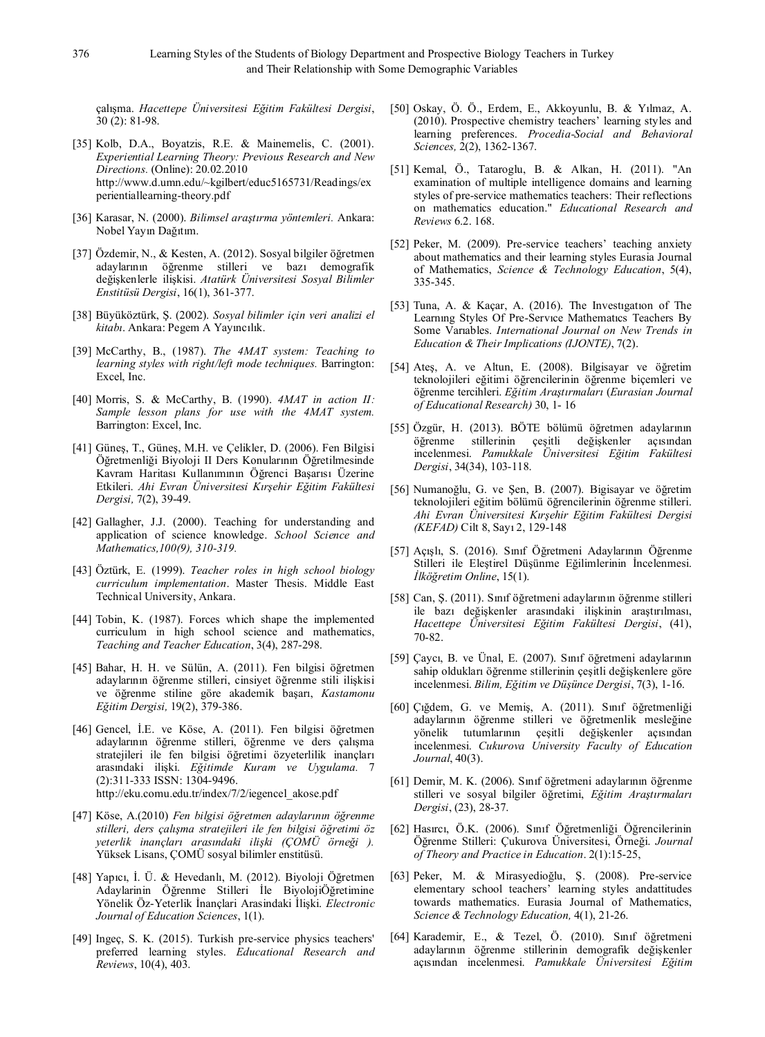çalışma. *Hacettepe Üniversitesi Eğitim Fakültesi Dergisi*, 30 (2): 81-98.

- [35] Kolb, D.A., Boyatzis, R.E. & Mainemelis, C. (2001). *Experiential Learning Theory: Previous Research and New Directions.* (Online): 20.02.2010 http://www.d.umn.edu/~kgilbert/educ5165731/Readings/ex perientiallearning-theory.pdf
- [36] Karasar, N. (2000). *Bilimsel araştırma yöntemleri.* Ankara: Nobel Yayın Dağıtım.
- [37] Özdemir, N., & Kesten, A. (2012). Sosyal bilgiler öğretmen adaylarının öğrenme stilleri ve bazı demografik değişkenlerle ilişkisi. *Atatürk Üniversitesi Sosyal Bilimler Enstitüsü Dergisi*, 16(1), 361-377.
- [38] Büyüköztürk, Ş. (2002). *Sosyal bilimler için veri analizi el kitabı*. Ankara: Pegem A Yayıncılık.
- [39] McCarthy, B., (1987). *The 4MAT system: Teaching to learning styles with right/left mode techniques.* Barrington: Excel, Inc.
- [40] Morris, S. & McCarthy, B. (1990). *4MAT in action II: Sample lesson plans for use with the 4MAT system.* Barrington: Excel, Inc.
- [41] Güneş, T., Güneş, M.H. ve Çelikler, D. (2006). Fen Bilgisi Öğretmenliği Biyoloji II Ders Konularının Öğretilmesinde Kavram Haritası Kullanımının Öğrenci Başarısı Üzerine Etkileri. *Ahi Evran Üniversitesi Kırşehir Eğitim Fakültesi Dergisi,* 7(2), 39-49.
- [42] Gallagher, J.J. (2000). Teaching for understanding and application of science knowledge. *School Science and Mathematics,100(9), 310-319.*
- [43] Öztürk, E. (1999). *Teacher roles in high school biology curriculum implementation*. Master Thesis. Middle East Technical University, Ankara.
- [44] Tobin, K. (1987). Forces which shape the implemented curriculum in high school science and mathematics, *Teaching and Teacher Education*, 3(4), 287-298.
- [45] Bahar, H. H. ve Sülün, A. (2011). Fen bilgisi öğretmen adaylarının öğrenme stilleri, cinsiyet öğrenme stili ilişkisi ve öğrenme stiline göre akademik başarı, *Kastamonu Eğitim Dergisi,* 19(2), 379-386.
- [46] Gencel, İ.E. ve Köse, A. (2011). Fen bilgisi öğretmen adaylarının öğrenme stilleri, öğrenme ve ders çalışma stratejileri ile fen bilgisi öğretimi özyeterlilik inançları arasındaki ilişki. *Eğitimde Kuram ve Uygulama.* 7 (2):311-333 ISSN: 1304-9496. http://eku.comu.edu.tr/index/7/2/iegencel\_akose.pdf
- [47] Köse, A.(2010) *Fen bilgisi öğretmen adaylarının öğrenme stilleri, ders çalışma stratejileri ile fen bilgisi öğretimi öz yeterlik inançları arasındaki ilişki (ÇOMÜ örneği ).* Yüksek Lisans, ÇOMÜ sosyal bilimler enstitüsü.
- [48] Yapıcı, İ. Ü. & Hevedanlı, M. (2012). Biyoloji Öğretmen Adaylarinin Öğrenme Stilleri İle BiyolojiÖğretimine Yönelik Öz-Yeterlik İnançlari Arasindaki İlişki. *Electronic Journal of Education Sciences*, 1(1).
- [49] Ingeç, S. K. (2015). Turkish pre-service physics teachers' preferred learning styles. *Educational Research and Reviews*, 10(4), 403.
- [50] Oskay, Ö. Ö., Erdem, E., Akkoyunlu, B. & Yılmaz, A. (2010). Prospective chemistry teachers' learning styles and learning preferences. *Procedia-Social and Behavioral Sciences,* 2(2), 1362-1367.
- [51] Kemal, Ö., Tataroglu, B. & Alkan, H. (2011). "An examination of multiple intelligence domains and learning styles of pre-service mathematics teachers: Their reflections on mathematics education." *Educational Research and Reviews* 6.2. 168.
- [52] Peker, M. (2009). Pre-service teachers' teaching anxiety about mathematics and their learning styles Eurasia Journal of Mathematics, *Science & Technology Education*, 5(4), 335-345.
- [53] Tuna, A. & Kaçar, A. (2016). The Investıgatıon of The Learnıng Styles Of Pre-Servıce Mathematıcs Teachers By Some Varıables. *International Journal on New Trends in Education & Their Implications (IJONTE)*, 7(2).
- [54] Ateş, A. ve Altun, E. (2008). Bilgisayar ve öğretim teknolojileri eğitimi öğrencilerinin öğrenme biçemleri ve öğrenme tercihleri. *Eğitim Araştırmaları* (*Eurasian Journal of Educational Research)* 30, 1- 16
- [55] Özgür, H. (2013). BÖTE bölümü öğretmen adaylarının öğrenme stillerinin çeşitli değişkenler açısından incelenmesi. *Pamukkale Üniversitesi Eğitim Fakültesi Dergisi*, 34(34), 103-118.
- [56] Numanoğlu, G. ve Şen, B. (2007). Bigisayar ve öğretim teknolojileri eğitim bölümü öğrencilerinin öğrenme stilleri. *Ahi Evran Üniversitesi Kırşehir Eğitim Fakültesi Dergisi (KEFAD)* Cilt 8, Sayı 2, 129-148
- [57] Açışlı, S. (2016). Sınıf Öğretmeni Adaylarının Öğrenme Stilleri ile Eleştirel Düşünme Eğilimlerinin İncelenmesi. *İlköğretim Online*, 15(1).
- [58] Can, Ş. (2011). Sınıf öğretmeni adaylarının öğrenme stilleri ile bazı değişkenler arasındaki ilişkinin araştırılması, *Hacettepe Üniversitesi Eğitim Fakültesi Dergisi*, (41), 70-82.
- [59] Çaycı, B. ve Ünal, E. (2007). Sınıf öğretmeni adaylarının sahip oldukları öğrenme stillerinin çeşitli değişkenlere göre incelenmesi. *Bilim, Eğitim ve Düşünce Dergisi*, 7(3), 1-16.
- [60] Çığdem, G. ve Memiş, A. (2011). Sınıf öğretmenliği adaylarının öğrenme stilleri ve öğretmenlik mesleğine yönelik tutumlarının çeşitli değişkenler açısından incelenmesi. *Cukurova University Faculty of Education Journal*, 40(3).
- [61] Demir, M. K. (2006). Sınıf öğretmeni adaylarının öğrenme stilleri ve sosyal bilgiler öğretimi, *Eğitim Araştırmaları Dergisi*, (23), 28-37.
- [62] Hasırcı, Ö.K. (2006). Sınıf Öğretmenliği Öğrencilerinin Öğrenme Stilleri: Çukurova Üniversitesi, Örneği. *Journal of Theory and Practice in Education*. 2(1):15-25,
- [63] Peker, M. & Mirasyedioğlu, Ş. (2008). Pre-service elementary school teachers' learning styles andattitudes towards mathematics. Eurasia Journal of Mathematics, *Science & Technology Education,* 4(1), 21-26.
- [64] Karademir, E., & Tezel, Ö. (2010). Sınıf öğretmeni adaylarının öğrenme stillerinin demografik değişkenler açısından incelenmesi. *Pamukkale Üniversitesi Eğitim*